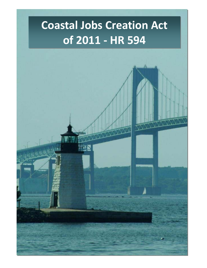# **Coastal Jobs Creation Act of 2011 - HR 594**

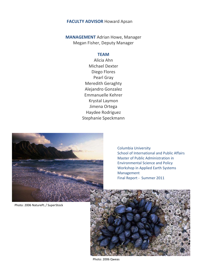#### **FACULTY ADVISOR** Howard Apsan

**MANAGEMENT** Adrian Howe, Manager Megan Fisher, Deputy Manager

#### **TEAM**

Alicia Ahn Michael Dexter Diego Flores Pearl Gray Meredith Geraghty Alejandro Gonzalez Emmanuelle Kehrer Krystal Laymon Jimena Ortega Haydee Rodriguez Stephanie Speckmann



Columbia University School of International and Public Affairs Master of Public Administration in Environmental Science and Policy Workshop in Applied Earth Systems Management Final Report - Summer 2011

Photo: 2006 NaturePL / SuperStock



Photo: 2006 Qweas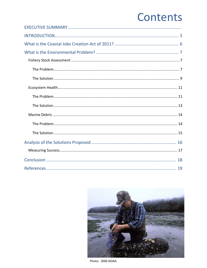## Contents

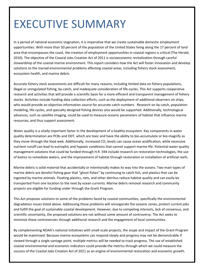## EXECUTIVE SUMMARY

In a period of national economic stagnation, it is imperative that we create sustainable domestic employment opportunities. With more than 50 percent of the population of the United States living along the 17 percent of land area that encompasses the coast, the creation of employment opportunities in coastal regions is critical (The Herald, 2010). The objective of the Coastal Jobs Creation Act of 2011 is socioeconomic revitalization through careful stewardship of the coastal marine environment. This report considers how the Act will foster innovation and develop solutions to the myriad environmental problems affecting coastal areas, including fishery stock assessment, ecosystem health, and marine debris.

Accurate fishery stock assessments are difficult for many reasons, including limited data on fishery populations, illegal or unregulated fishing, by-catch, and inadequate consideration of life-cycles. This Act supports cooperative research and activities that will provide a scientific basis for a more efficient and transparent management of fishery stocks. Activities include funding data collection efforts, such as the deployment of additional observers on ships, who would provide an objective information source for accurate catch numbers. Research on by-catch, population modeling, life-cycles, and specialty designed fishing devices also would be supported. Additionally, technological advances, such as satellite imaging, could be used to measure oceanic parameters of habitat that influence marine resources, and thus support assessment.

Water quality is a vitally important factor in the development of a healthy ecosystem. Key components in water quality determination are PCBs and DDT, which are toxic and have the ability to bio-accumulate or bio-magnify as they move through the food web. Additionally, increased  $CO<sub>2</sub>$  levels can cause ocean acidification, while excessive nutrient runoff can lead to eutrophic and hypoxic conditions that cannot support marine life. Potential water quality management solutions that could be funded through H.R. 594 include research on restoration technologies, the use of biotics to remediate waters, and the improvement of habitat through restoration or installation of artificial reefs.

Marine debris is solid material that accidentally or intentionally makes its way into the oceans. Two main types of marine debris are derelict fishing gear that "ghost fishes" by continuing to catch fish, and plastics that can be ingested by marine animals. Floating plastics, nets, and other detritus reduce habitat quality and can easily be transported from one location to the next by ocean currents. Marine debris removal research and community projects are eligible for funding under through the Grant Program.

This Act proposes solutions to some of the problems faced by coastal communities, specifically the environmental degradation issues listed above. Addressing those problems will reinvigorate the oceanic zones, protect current jobs and fulfill the goal of sustainable coastal development. However, due to competing interests, lack of consensus, and scientific uncertainty, the proposed solutions are not without some amount of controversy. The Act seeks to minimize these controversies through additional research and the engagement of local communities.

By complementing NOAA's national initiatives with small-scale projects, the scope and impact of the Grant Program would be maximized. Because marine ecosystems can respond slowly and progress may not be demonstrable if viewed through a single vantage point, multiple metrics will be needed to track progress. The use of established coastal environmental and economic indicators could provide the metrics through which we could measure the success of the Coastal Jobs Creation Act of 2011 as an engine of environmental restoration and economic growth.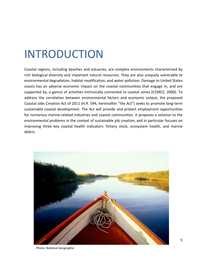## <span id="page-4-0"></span>INTRODUCTION

Coastal regions, including beaches and estuaries, are complex environments characterized by rich biological diversity and important natural resources. They are also uniquely vulnerable to environmental degradation, habitat modification, and water pollution. Damage to United States coasts has an adverse economic impact on the coastal communities that engage in, and are supported by, a gamut of activities intrinsically connected to coastal zones (CCMCE, 2000). To address the correlation between environmental factors and economic output, the proposed Coastal Jobs Creation Act of 2011 (H.R. 594, hereinafter "the Act") seeks to promote long-term sustainable coastal development. The Act will provide and protect employment opportunities for numerous marine-related industries and coastal communities. It proposes a solution to the environmental problems in the context of sustainable job creation, and in particular focuses on improving three key coastal health indicators: fishery stock, ecosystem health, and marine debris.



Photo: National Geographic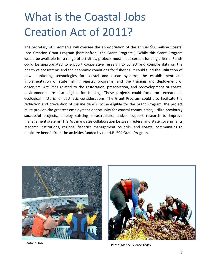# <span id="page-5-0"></span>What is the Coastal Jobs Creation Act of 2011?

The Secretary of Commerce will oversee the appropriation of the annual \$80 million Coastal Jobs Creation Grant Program (hereinafter, "the Grant Program"). While this Grant Program would be available for a range of activities, projects must meet certain funding criteria. Funds could be appropriated to support cooperative research to collect and compile data on the health of ecosystems and the economic conditions for fisheries. It could fund the utilization of new monitoring technologies for coastal and ocean systems, the establishment and implementation of state fishing registry programs, and the training and deployment of observers. Activities related to the restoration, preservation, and redevelopment of coastal environments are also eligible for funding. These projects could focus on recreational, ecological, historic, or aesthetic considerations. The Grant Program could also facilitate the reduction and prevention of marine debris. To be eligible for the Grant Program, the project must provide the greatest employment opportunity for coastal communities, utilize previously successful projects, employ existing infrastructure, and/or support research to improve management systems. The Act mandates collaboration between federal and state governments, research institutions, regional fisheries management councils, and coastal communities to maximize benefit from the activities funded by the H.R. 594 Grant Program.





Photo: NOAA Photo: NOAA Photo: Marine Science Today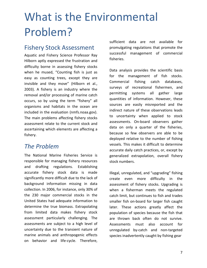# <span id="page-6-0"></span>What is the Environmental Problem?

## <span id="page-6-1"></span>Fishery Stock Assessment

Aquatic and Fishery Science Professor Ray Hilborn aptly expressed the frustration and difficulty borne in assessing fishery stocks when he mused, "Counting fish is just as easy as counting trees, except they are invisible and they move" (Hilborn et al., 2003). A fishery is an industry where the removal and/or processing of marine catch occurs, so by using the term "fishery" all organisms and habitats in the ocean are included in the evaluation (nmfs.noaa.gov). The main problems affecting fishery stocks assessment relate to the current stock and ascertaining which elements are affecting a fishery.

## <span id="page-6-2"></span>*The Problem*

<span id="page-6-3"></span>The National Marine Fisheries Service is responsible for managing fishery resources and drafting regulations. Establishing accurate fishery stock data is made significantly more difficult due to the lack of background information missing in data collection. In 2006, for instance, only 30% of the 230 major commercial stocks in the United States had adequate information to determine the true biomass. Extrapolating from limited data makes fishery stock assessment particularly challenging. The assessments are subject to a high level of uncertainty due to the transient nature of marine animals and anthropogenic effects on behavior and life-cycle. Therefore,

sufficient data are not available for promulgating regulations that promote the successful management of commercial fisheries.

Data analysis provides the scientific basis for the management of fish stocks. Commercial fishing catch databases, surveys of recreational fishermen, and permitting systems all gather large quantities of information. However, these sources are easily misreported and the indirect nature of these observations leads to uncertainty when applied to stock assessments. On-board observers gather data on only a quarter of the fisheries, because so few observers are able to be deployed relative to the number of fishing vessels. This makes it difficult to determine accurate daily catch practices, or, except by generalized extrapolation, overall fishery stock numbers.

Illegal, unregulated, and "upgrading" fishing create even more difficulty in the assessment of fishery stocks. Upgrading is when a fisherman meets the regulated catch limit, but continues to fish and trades smaller fish on-board for larger fish caught later. These actions greatly affect the population of species because the fish that are thrown back often do not survive. Assessments must also account for unregulated by-catch and non-targeted species inadvertently caught by fishing gear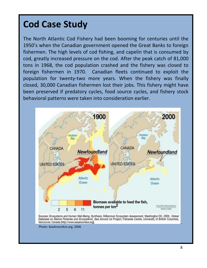## **Cod Case Study**

The North Atlantic Cod Fishery had been booming for centuries until the 1950's when the Canadian government opened the Great Banks to foreign fishermen. The high levels of cod fishing, and capelin that is consumed by cod, greatly increased pressure on the cod. After the peak catch of 81,000 tons in 1968, the cod population crashed and the fishery was closed to foreign fishermen in 1970. Canadian fleets continued to exploit the population for twenty-two more years. When the fishery was finally closed, 30,000 Canadian fishermen lost their jobs. This fishery might have been preserved if predatory cycles, food source cycles, and fishery stock behavioral patterns were taken into consideration earlier.

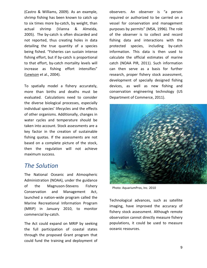(Castro & Williams, 2009). As an example, shrimp fishing has been known to catch up to six times more by-catch, by weight, than actual shrimp (Vianna & Almeida, 2005). The by-catch is often discarded and not reported, thus creating holes in data detailing the true quantity of a species being fished. "Fisheries can sustain intense fishing effort, but if by-catch is proportional to that effort, by-catch mortality levels will increase as fishing effort intensifies" [\(Lewison](http://www.sciencedirect.com/science?_ob=RedirectURL&_method=outwardLink&_partnerName=27983&_origin=article&_zone=art_page&_linkType=scopusAuthorDocuments&_targetURL=http%3A%2F%2Fwww.scopus.com%2Fscopus%2Finward%2Fauthor.url%3FpartnerID%3D10%26rel%3D3.0.0%26sortField%3Dcited%26sortOrder%3Dasc%26author%3DLewison,%2520Rebecca%2520L.%26authorID%3D6603135119%26md5%3D9eaa58aa6b2d20ac04ff821d9c695b11&_acct=C000002018&_version=1&_userid=18704&md5=4cea976470f79542fa08e74de88f12fc) et al., 2004).

To spatially model a fishery accurately, more than births and deaths must be evaluated. Calculations need to consider the diverse biological processes, especially individual species' lifecycles and the effects of other organisms. Additionally, changes in water cycles and temperature should be taken into account. Stock assessments are a key factor in the creation of sustainable fishing quotas. If the assessments are not based on a complete picture of the stock, then the regulation will not achieve maximum success.

### *The Solution*

The National Oceanic and Atmospheric Administration (NOAA), under the guidance of the Magnuson-Stevens Fishery Conservation and Management Act, launched a nation-wide program called the Marine Recreational Information Program (MRIP) in January 2010, to monitor commercial by-catch.

The Act could expand on MRIP by seeking the full participation of coastal states through the proposed Grant program that could fund the training and deployment of

observers. An observer is "a person required or authorized to be carried on a vessel for conservation and management purposes by permits" (MSA, 1996). The role of the observer is to collect and record fishing data and interactions with the protected species, including by-catch information. This data is then used to calculate the official estimates of marine catch (NOAA PIR, 2011). Such information can then serve as a basis for further research, proper fishery stock assessment, development of specially designed fishing devices, as well as new fishing and conservation engineering technology (US Department of Commerce, 2011).



Photo: AquariumPros, Inc. 2010

Technological advances, such as satellite imaging, have improved the accuracy of fishery stock assessment. Although remote observation cannot directly measure fishery populations, it could be used to measure oceanic resources.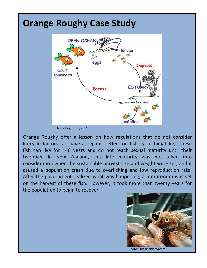## **Orange Roughy Case Study OPEN OCEAN** larvae eaas **Ingress** adult spawners **EST Egress** juveniles

Photo: BrightHub, 2011

Orange Roughy offer a lesson on how regulations that do not consider lifecycle factors can have a negative effect on fishery sustainability. These fish can live for 140 years and do not reach sexual maturity until their twenties. In New Zealand, this late maturity was not taken into consideration when the sustainable harvest size and weight were set, and it caused a population crash due to overfishing and low reproduction rate. After the government realized what was happening, a moratorium was set on the harvest of these fish. However, it took more than twenty years for the population to begin to recover.

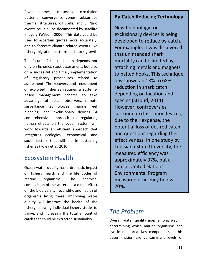River plumes, mesoscale circulation patterns, convergence zones, subsurface thermal structures, oil spills, and El Niño events could all be documented by satellite imagery (Wilson, 2006). This data could be used to ascertain quotas more accurately, and to forecast climate-related events like fishery migration patterns and stock growth.

The future of coastal health depends not only on fisheries stock assessment, but also on a successful and timely implementation of regulatory procedures related to assessment. The recovery and recruitment of exploited fisheries requires a systemsbased management scheme to take advantage of ocean observers, remote surveillance technologies, marine reef planning, and exclusionary devices. A comprehensive approach to regulating human effects on the ocean system will work towards an efficient approach that integrates ecological, economical, and social factors that will aid in sustaining fisheries (Foley et al, 2010).

### <span id="page-10-0"></span>Ecosystem Health

Ocean water quality has a dramatic impact on fishery health and the life cycles of marine organisms. The chemical composition of the water has a direct effect on the biodiversity, fecundity, and health of organisms living there. Improving water quality will improve the health of the fishery, allowing individual fishery stocks to thrive, and increasing the total amount of catch that could be extracted sustainably.

#### **By-Catch Reducing Technology**

New technology for exclusionary devices is being developed to reduce by-catch. For example, it was discovered that unintended shark mortality can be limited by attaching metals and magnets to baited hooks. This technique has shown an 18% to 68% reduction in shark catch depending on location and species (Stroud, 2011). However, controversies surround exclusionary devices, due to their expense, the potential loss of desired catch, and questions regarding their effectiveness. In one study by Louisiana State University, the measured efficiency was approximately 97%, but a similar United Nations Environmental Program measured efficiency below 20%.

## <span id="page-10-1"></span>*The Problem*

Overall water quality goes a long way in determining which marine organisms can live in that area. Key components in this determination are contaminant levels of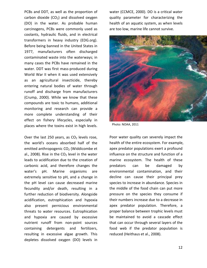PCBs and DDT, as well as the proportion of carbon dioxide  $(CO<sub>2</sub>)$  and dissolved oxygen (DO) in the water. As probable human carcinogens, PCBs were commonly used as coolants, hydraulic fluids, and in electrical transformers in heavy industry (EDG.org). Before being banned in the United States in 1977, manufacturers often discharged contaminated waste into the waterways; in many cases the PCBs have remained in the water. DDT was first mass-produced during World War II when it was used extensively as an agricultural insecticide, thereby entering natural bodies of water through runoff and discharge from manufacturers (Crump, 2000). While we know that these compounds are toxic to humans, additional monitoring and research can provide a more complete understanding of their effect on fishery lifecycles, especially in places where the toxins exist in high levels.

Over the last 250 years, as  $CO<sub>2</sub>$  levels rose, the world's oceans absorbed half of the emitted anthropogenic  $CO<sub>2</sub>$  (Widdicombe et al., 2008). Rise in the  $CO<sub>2</sub>$  level in the water leads to acidification due to the creation of carbonic acid, and therefore changes the water's pH. Marine organisms are extremely sensitive to pH, and a change in the pH level can cause decreased marine fecundity and/or death, resulting in a further reduction of biodiversity. Alongside acidification, eutrophication and hypoxia also present pernicious environmental threats to water resources. Eutrophication and hypoxia are caused by excessive nutrient runoff from non-point sources containing detergents and fertilizers, resulting in excessive algae growth. This depletes dissolved oxygen (DO) levels in

water (CCMCE, 2000). DO is a critical water quality parameter for characterizing the health of an aquatic system, as when levels are too low, marine life cannot survive.



Photo: NOAA, 2011

Poor water quality can severely impact the health of the entire ecosystem. For example, apex predator populations exert a profound influence on the structure and function of a marine ecosystem. The health of these predators can be damaged by environmental contamination, and their decline can cause their principal prey species to increase in abundance. Species in the middle of the food chain can put more pressure on the species they consume if their numbers increase due to a decrease in apex predator population. Therefore, a proper balance between trophic levels must be maintained to avoid a cascade effect that can occur through several layers of the food web if the predator population is reduced (Heithaus et al., 2008).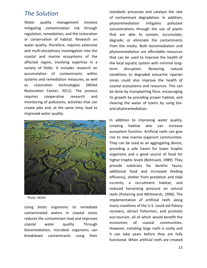### <span id="page-12-0"></span>*The Solution*

Water quality management involves mitigating contamination risk through regulation, remediation, and the restoration or conservation of habitat. Research on water quality, therefore, requires extensive and multi-disciplinary investigation into the coastal and marine ecosystems of the affected region, involving expertise in a variety of fields. It includes research on accumulation of contaminants within systems and remediation measures, as well as restoration technologies (NOAA Restoration Center, 2011). The process requires cooperative research and monitoring of pollutants, activities that can create jobs and, at the same time, lead to improved water quality.



<span id="page-12-1"></span>Photo: NOAA

Using biotic organisms to remediate contaminated waters in coastal zones reduces the contaminant load and improves coastal water quality. Through bioremediation, microbial organisms can breakdown contaminants using their

metabolic processes and catalyze the rate of contaminant degradation. In addition, phytoremediation mitigates pollutant concentrations through the use of plants that are able to contain, accumulate, degrade, or eliminate the contaminants from the media. Both bioremediation and phytoremediation are affordable resources that can be used to improve the health of the local aquatic system with minimal longterm disruption. Restoring natural conditions to degraded estuarine riparian zones could also improve the health of coastal ecosystems and resources. This can be done by transplanting flora, encouraging its growth by providing proper habitat, and clearing the water of toxins by using bioand phytoremediation.

In addition to improving water quality, creating habitat also can increase ecosystem function. Artificial reefs can give rise to new marine organism communities. They can be used as an aggregating device, providing a safe haven for lower trophic organisms and a good source of food for higher trophic levels (Bohnsack, 1989). They provide substrata for benthic fauna, additional food and increased feeding efficiency, shelter from predation and tidal currents, a recruitment habitat, and reduced harvesting pressure on natural reefs (Pickering and Whitmarsh, 1996). The implementation of artificial reefs along many coastlines of the U.S. could aid fishery recovery, attract fishermen, and promote eco-tourism, all of which would benefit the economies of coastal communities. However, installing large reefs is costly and it can take years before they are fully functional. When artificial reefs are created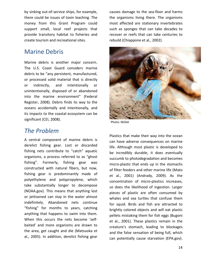by sinking out-of-service ships, for example, there could be issues of toxin leaching. The money from this Grant Program could support small, local reef projects that provide transitory habitat to fisheries and create tourism and recreational sites.

## Marine Debris

<span id="page-13-0"></span>Marine debris is another major concern. The U.S. Coast Guard considers marine debris to be "any persistent, manufactured, or processed solid material that is directly or indirectly, and intentionally or unintentionally, disposed of or abandoned into the marine environment" (Federal Register, 2008). Debris finds its way to the oceans accidentally and intentionally, and its impacts to the coastal ecosystem can be significant (CEI, 2008).

### *The Problem*

A central component of marine debris is derelict fishing gear. Lost or discarded fishing nets contribute to "catch" aquatic organisms, a process referred to as "ghost fishing". Formerly, fishing gear was constructed with natural fibers, but now, fishing gear is predominantly made of polyethylene and polypropylene, which take substantially longer to decompose (NOAA.gov). This means that anything lost or jettisoned can stay in the water almost indefinitely. Abandoned nets continue "fishing" for months to years, catching anything that happens to swim into them. When this occurs the nets become 'selfbaited' and more organisms are drawn to the area, get caught and die (Matsuoka et al., 2005). In addition, derelict fishing gear

causes damage to the sea-floor and harms the organisms living there. The organisms most affected are stationary invertebrates such as sponges that can take decades to recover or reefs that can take centuries to rebuild (Chiappone et al., 2002).



Photo: NOAA

<span id="page-13-1"></span>Plastics that make their way into the ocean can have adverse consequences on marine life. Although most plastic is developed to be incredibly durable, it does eventually succumb to photodegradation and becomes micro-plastic that ends up in the stomachs of filter feeders and other marine life (Mato et al., 2001) (Andrady, 2009). As the concentration of micro-plastics increases, so does the likelihood of ingestion. Larger pieces of plastic are often consumed by whales and sea turtles that confuse them for squid. Birds and fish are attracted to brightly colored objects and will eat plastic pellets mistaking them for fish eggs (Bugoni et al., 2001). These plastics remain in the creature's stomach, leading to blockages and the false sensation of being full, which can potentially cause starvation (EPA.gov).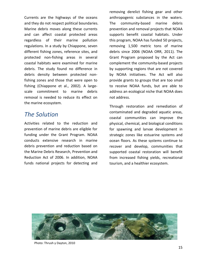Currents are the highways of the oceans and they do not respect political boundaries. Marine debris moves along these currents and can affect coastal protected areas regardless of their marine pollution regulations. In a study by Chiappone, seven different fishing zones, reference sites, and protected non-fishing areas in several coastal habitats were examined for marine debris. The study found no difference in debris density between protected nonfishing zones and those that were open to fishing (Chiappone et al., 2002). A largescale commitment to marine debris removal is needed to reduce its effect on the marine ecosystem.

### *The Solution*

Activities related to the reduction and prevention of marine debris are eligible for funding under the Grant Program. NOAA conducts extensive research in marine debris prevention and reduction based on the Marine Debris Research, Prevention and Reduction Act of 2006. In addition, NOAA funds national projects for detecting and

removing derelict fishing gear and other anthropogenic substances in the waters. The community-based marine debris prevention and removal projects that NOAA supports benefit coastal habitats. Under this program, NOAA has funded 50 projects, removing 1,500 metric tons of marine debris since 2006 (NOAA ORR, 2011). The Grant Program proposed by the Act can complement the community-based projects by supporting regions that are not covered by NOAA initiatives. The Act will also provide grants to groups that are too small to receive NOAA funds, but are able to address an ecological niche that NOAA does not address.

Through restoration and remediation of contaminated and degraded aquatic areas, coastal communities can improve the physical, chemical, and biological conditions for spawning and larvae development in strategic zones like estuarine systems and ocean floors. As these systems continue to recover and develop, communities that supported coastal restoration will benefit from increased fishing yields, recreational tourism, and a healthier ecosystem.



Photo: Thrush y Dayton, 2010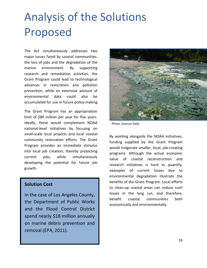# <span id="page-15-0"></span>Analysis of the Solutions Proposed

The Act simultaneously addresses two major issues faced by coastal communities: the loss of jobs and the degradation of the marine environment. By supporting research and remediation activities, the Grant Program could lead to technological advances in restoration and pollution prevention, while an extensive amount of environmental data could also be accumulated for use in future policy-making.

The Grant Program has an appropriation limit of \$80 million per year for five years. Ideally, these would complement NOAA national-level initiatives by focusing on small-scale local projects and local coastal community restoration efforts. The Grant Program provides an immediate stimulus into local job creation, thereby protecting current jobs, while simultaneously developing the potential for future job growth.

#### **Solution Cost**

In the case of Los Angeles County, the Department of Public Works and the Flood Control District spend nearly \$18 million annually on marine debris prevention and removal (EPA, 2011).



Photo: Science Daily

<span id="page-15-1"></span>By working alongside the NOAA initiatives, funding supplied by the Grant Program would invigorate smaller, local, job-creating programs. Although the actual economic value of coastal reconstruction and research initiatives is hard to quantify, examples of current losses due to environmental degradation illustrate the benefits of the Grant Program. Local efforts to clean-up coastal areas can reduce such losses in the long run, and therefore, benefit coastal communities both economically and environmentally.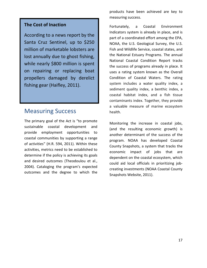#### **The Cost of Inaction**

According to a news report by the Santa Cruz Sentinel, up to \$250 million of marketable lobsters are lost annually due to ghost fishing, while nearly \$800 million is spent on repairing or replacing boat propellers damaged by derelict fishing gear (Haifley, 2011).

### Measuring Success

The primary goal of the Act is "to promote sustainable coastal development and provide employment opportunities to coastal communities by supporting a range of activities" (H.R. 594, 2011). Within these activities, metrics need to be established to determine if the policy is achieving its goals and desired outcomes (Theodoulou et al., 2004). Cataloging the program's expected outcomes and the degree to which the

products have been achieved are key to measuring success.

Fortunately, a Coastal Environment Indicators system is already in place, and is part of a coordinated effort among the EPA, NOAA, the U.S. Geological Survey, the U.S. Fish and Wildlife Service, coastal states, and the National Estuary Programs. The annual National Coastal Condition Report tracks the success of programs already in place. It uses a rating system known as the Overall Condition of Coastal Waters. The rating system includes a water quality index, a sediment quality index, a benthic index, a coastal habitat index, and a fish tissue contaminants index. Together, they provide a valuable measure of marine ecosystem health.

Monitoring the increase in coastal jobs, (and the resulting economic growth) is another determinant of the success of the program. NOAA has developed Coastal County Snapshots, a system that tracks the economic impact of jobs that are dependent on the coastal ecosystem, which could aid local officials in prioritizing jobcreating investments (NOAA Coastal County Snapshots Website, 2011).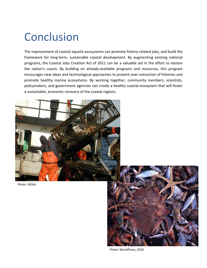## <span id="page-17-0"></span>Conclusion

The improvement of coastal aquatic ecosystems can promote fishery-related jobs, and build the framework for long-term, sustainable coastal development. By augmenting existing national programs, the Coastal Jobs Creation Act of 2011 can be a valuable aid in the effort to restore the nation's coasts. By building on already-available programs and resources, this program encourages new ideas and technological approaches to prevent over-extraction of fisheries and promote healthy marine ecosystems. By working together, community members, scientists, policymakers, and government agencies can create a healthy coastal ecosystem that will foster a sustainable, economic recovery of the coastal regions.







Photo: WorldPress, 2010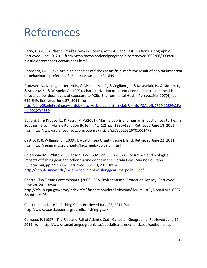## <span id="page-18-0"></span>References

Barry, C. (2009). Plastic Breaks Down in Oceans, After All- and Fast. National Geographic. Retrieved June 19, 2011 from http://news.nationalgeographic.com/news/2009/08/090820 plastic-decomposes-oceans-seas.html

Bohnsack, J.A., 1989. Are high densities of fishes at artificial reefs the result of habitat limitation or behavioural preference?. Bull. Mar. Sci. 44, 631-645.

Brouwer, A., & Longnecker, M.P., & Birnbaum, L.S., & Cogliano, J., & Kostyniak, P., & Moore, J., & Schantz, S., & Winneke G. (1999). Characterization of potential endocrine-related health effects at low-dose levels of exposure to PCBs. Environmental Health Perspective: 107(4), pp. 639-649. Retrieved June 27, 2011 from

[http://ehp03.niehs.nih.gov/article/fetchArticle.action?articleURI=info%3Adoi%2F10.1289%2Fe](http://ehp03.niehs.nih.gov/article/fetchArticle.action?articleURI=info%3Adoi%2F10.1289%2Fehp.99107s4639) [hp.99107s4639](http://ehp03.niehs.nih.gov/article/fetchArticle.action?articleURI=info%3Adoi%2F10.1289%2Fehp.99107s4639)

Bugoni, L., & Krause, L., & Petry, M.V.(2001). Marine debris and human impact on sea turtles in Southern Brazil. Marine Pollution Bulletin: 42 (12), pp. 1330–1334. Retrieved June 18, 2011 from http://www.sciencedirect.com/science/article/pii/S0025326X01001473

Castro, K. & Williams, E. (2009). By-catch. Sea Grant- Rhode Island. Retrieved June 22, 2011 from http://seagrant.gso.uri.edu/factsheets/By-catch.html

Chiappone M., White A., Swanson D.W., & Miller, S.L. (2002). Occurrence and biological impacts of fishing gear and other marine debris in the Florida Keys. Marine Pollution Bulletin: 44, pp. 597–604. Retrieved June 19, 2011 from [http://people.uncw.edu/millers/documents/fishinggear\\_marpollbull.pdf](http://people.uncw.edu/millers/documents/fishinggear_marpollbull.pdf)

Coastal Fish Tissue Contaminants. (2009). EPA-Environmental Protection Agency. Retrieved June 28, 2011 from http://cfpub.epa.gov/eroe/index.cfm?fuseaction=detail.viewInd&lv=list.listByAlpha&r=216627 &subtop=405

Coastkeeper. Derelict Fishing Gear. Retrieved June 23, 2011 from http://www.coastkeeper.org/derelict-fishing-gear/

Comeau, P. (1997). The Rise and Fall of Atlantic Cod. Canadian Geographic. Retrieved June 19, 2011 from http://www.canadiangeographic.ca/specialfeatures/atlanticcod/codhome.asp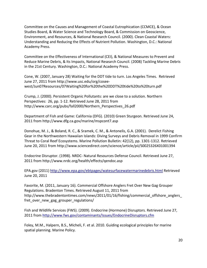Committee on the Causes and Management of Coastal Eutrophication (CCMCE), & Ocean Studies Board, & Water Science and Technology Board, & Commission on Geoscience, Environment, and Resources, & National Research Council. (2000). Clean Coastal Waters: Understanding and Reducing the Effects of Nutrient Pollution. Washington, D.C.: National Academy Press.

Committee on the Effectiveness of International (CEI), & National Measures to Prevent and Reduce Marine Debris, & Its Impacts, National Research Council. (2008) Tackling Marine Debris in the 21st Century. Washington, D.C.: National Academy Press.

Cone, W. (2007, January 28) Waiting for the DDT tide to turn. Los Angeles Times. Retrieved June 27, 2011 from http://www.usc.edu/org/coseewest/Jun07Resources/07Waiting%20for%20the%20DDT%20tide%20to%20turn.pdf

Crump, J. (2000). Persistent Organic Pollutants: are we close to a solution. Northern Perspectives: 26, pp. 1-12. Retrieved June 28, 2011 from http://www.carc.org/pubs/fall2000/Northern\_Perspectives\_26.pdf

Department of Fish and Game: California (DFG). (2010) Green Sturgeon. Retrieved June 24, 2011 from http://www.dfg.ca.gov/marine/mspcont7.asp

Donohue, M. J., & Boland, R. C., & Sramek, C. M., & Antonelis, G.A. (2001). Derelict Fishing Gear in the Northwestern Hawaiian Islands: Diving Surveys and Debris Removal in 1999 Confirm Threat to Coral Reef Ecosystems. Marine Pollution Bulletin: 42(12), pp. 1301-1312. Retrieved June 20, 2011 from http://www.sciencedirect.com/science/article/pii/S0025326X01001394

Endocrine Disruptor. (1998). NRDC- Natural Resources Defense Council. Retrieved June 27, 2011 from http://www.nrdc.org/health/effects/qendoc.asp

EPA.gov (2011)<http://www.epa.gov/ebtpages/watesurfacewatermarinedebris.html> Retrieved June 20, 2011

Favorite, M. (2011, January 16). Commercial Offshore Anglers Fret Over New Gag Grouper Regulations. Bradenton Times. Retrieved August 11, 2011 from http://www.thebradentontimes.com/news/2011/01/16/fishing/commercial offshore anglers fret\_over\_new\_gag\_grouper\_regulations/

Fish and Wildlife Services (FWS). (2009). Endocrine (Hormone) Disruptors. Retrieved June 27, 2011 from<http://www.fws.gov/contaminants/Issues/EndocrineDisruptors.cfm>

Foley, M.M., Halpern, B.S., Micheli, F. et al. 2010. Guiding ecological principles for marine spatial planning. Marine Policy.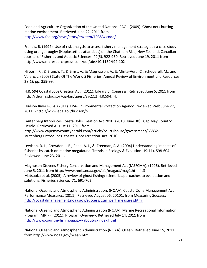Food and Agriculture Organization of the United Nations (FAO). (2009). Ghost nets hurting marine environment. Retrieved June 22, 2011 from <http://www.fao.org/news/story/en/item/19353/icode/>

Francis, R. (1992). Use of risk analysis to assess fishery management strategies : a case study using orange roughy (Hoplostethus atlanticus) on the Chatham Rise, New Zealand. Canadian Journal of Fisheries and Aquatic Sciences. 49(5), 922-930. Retrieved June 19, 2011 from http://www.nrcresearchpress.com/doi/abs/10.1139/f92-102

Hilborn, R., & Branch, T., & Ernst, A., & Magnusson, A., & Minte-Vera, C., Scheuerell, M., and Valero, J. (2003) State Of The World'S Fisheries. Annual Review of Environment and Resources 28(1): pp. 359-99.

H.R. 594 Coastal Jobs Creation Act. (2011). Library of Congress. Retrieved June 5, 2011 from http://thomas.loc.gov/cgi-bin/query/z?c112:H.R.594.IH:

Hudson River PCBs. (2011). EPA- Environmental Protection Agency. Reviewed Web June 27, 2011. <http://www.epa.gov/hudson/>.

Lautenberg Introduces Coastal Jobs Creation Act 2010. (2010, June 30). Cap May Country Herald. Retrieved August 11, 2011 from http://www.capemaycountyherald.com/article/court+house/government/63832 lautenberg+introduces+coastal+jobs+creation+act+2010

Lewison, R. L., Crowder, L. B., Read, A. J., & Freeman, S. A. (2004) Understanding impacts of fisheries by-catch on marine megafauna. Trends in Ecology & Evolution. 19(11), 598-604. Reviewed June 23, 2011.

Magnuson-Stevens Fishery Conservation and Management Act (MSFCMA). (1996). Retrieved June 5, 2011 from http://www.nmfs.noaa.gov/sfa/magact/mag1.html#s3 Matsuoka et al. (2005). A review of ghost fishing: scientific approaches to evaluation and solutions. Fisheries Science. 71, 691-702.

National Oceanic and Atmospheric Administration. (NOAA). Coastal Zone Management Act Performance Measures. (2011). Retrieved August 06, 20101, from Measuring Success: [http://coastalmanagement.noaa.gov/success/czm\\_perf\\_measures.html](http://coastalmanagement.noaa.gov/success/czm_perf_measures.html)

National Oceanic and Atmospheric Administration (NOAA). Marine Recreational Information Program (MRIP). (2011). Program Overview. Retrieved July 14, 2011 from <http://www.countmyfish.noaa.gov/aboutus/index.html>

National Oceanic and Atmospheric Administration (NOAA). Ocean. Retrieved June 15, 2011 from http://www.noaa.gov/ocean.html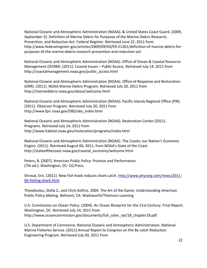National Oceanic and Atmospheric Administration (NOAA). & United States Coast Guard. (2009, September 3). Definition of Marine Debris for Purposes of the Marine Debris Research, Prevention, and Reduction Act. Federal Register. Retrieved June 22, 2011 from http://www.federalregister.gov/articles/2009/09/03/E9-21261/definition-of-marine-debris-forpurposes-of-the-marine-debris-research-prevention-and-reduction-act

National Oceanic and Atmospheric Administration (NOAA). Office of Ocean & Coastal Resource Management (OCRM). (2011). Coastal Issues – Public Access. Retrieved July 14, 2011 from http://coastalmanagement.noaa.gov/public\_access.html

National Oceanic and Atmospheric Administration (NOAA). Office of Response and Restoration (ORR). (2011). NOAA Marine Debris Program. Retrieved July 20, 2011 from http://marinedebris.noaa.gov/about/welcome.html

National Oceanic and Atmospheric Administration (NOAA). Pacific Islands Regional Office (PIR). (2011). Observer Program. Retrieved July 20, 2011 from http://www.fpir.noaa.gov/OBS/obs\_index.html

National Oceanic and Atmospheric Administration (NOAA). Restoration Center (2011). Programs. Retrieved July 14, 2011 from http://www.habitat.noaa.gov/restoration/programs/index.html

National Oceanic and Atmospheric Administration (NOAA). The Coasts: our Nation's Economic Engine. (2011). Retrieved August 06, 2011, from NOAA's State of the Coast: http://stateofthecoast.noaa.gov/coastal\_economy/welcome.html

Peters, B. (2007). American Public Policy: Promise and Performance. (7th ed.). Washington, DC: CQ Press.

Shroud, Eric. (2011). New Fish hook reduces shark catch. [http://www.physorg.com/news/2011-](http://www.physorg.com/news/2011-06-fishing-shark.html) [06-fishing-shark.html](http://www.physorg.com/news/2011-06-fishing-shark.html)

Theodoulou, Stella Z., and Chris Kofinis. 2004. The Art of the Game: Understanding American Public Policy Making. Belmont, CA: Wadsworth/Thomson Learning

U.S. Commission on Ocean Policy. (2004). An Ocean Blueprint for the 21st Century: Final Report. Washington, DC. Retrieved July 14, 2011 from http://www.oceancommission.gov/documents/full\_color\_rpt/18\_chapter18.pdf

U.S. Department of Commerce, National Oceanic and Atmospheric Administration, National Marine Fisheries Service. (2011) Annual Report to Congress on the By-catch Reduction Engineering Program. Retrieved July 20, 2011 from